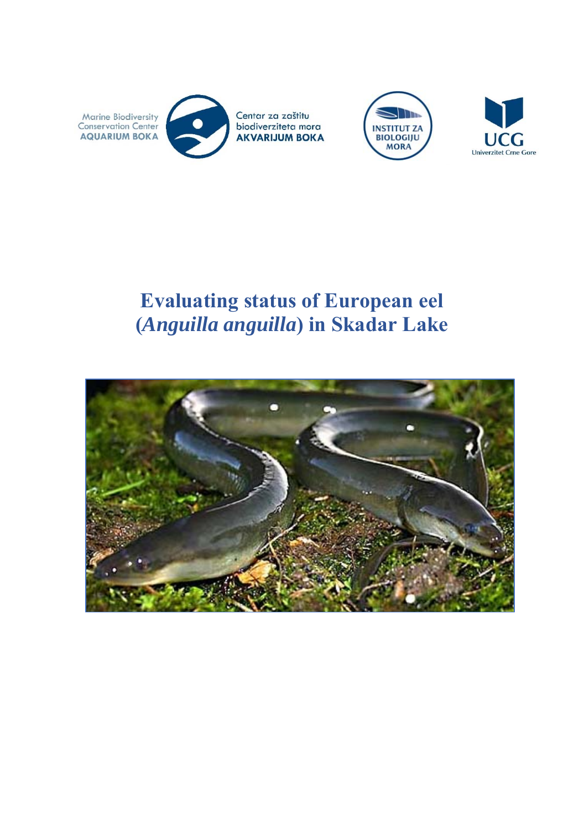





# **Evaluating status of European eel (***Anguilla anguilla***) in Skadar Lake**

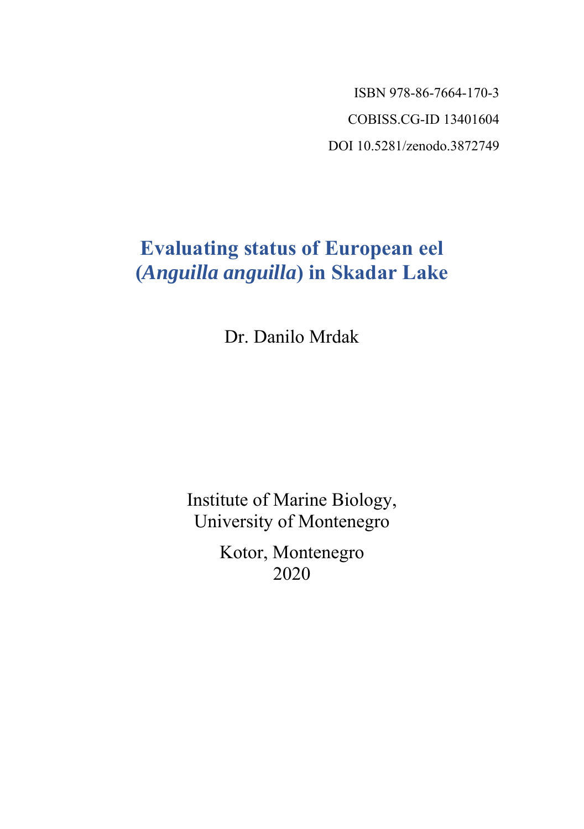ISBN 978-86-7664-170-3 COBISS.CG-ID 13401604 DOI 10.5281/zenodo.3872749

# **Evaluating status of European eel (***Anguilla anguilla***) in Skadar Lake**

Dr. Danilo Mrdak

Institute of Marine Biology, University of Montenegro

> Kotor, Montenegro 2020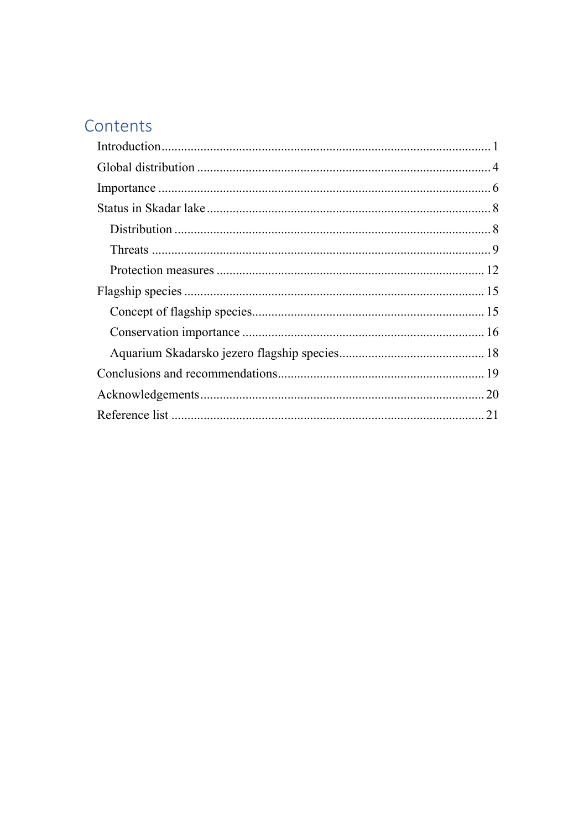## Contents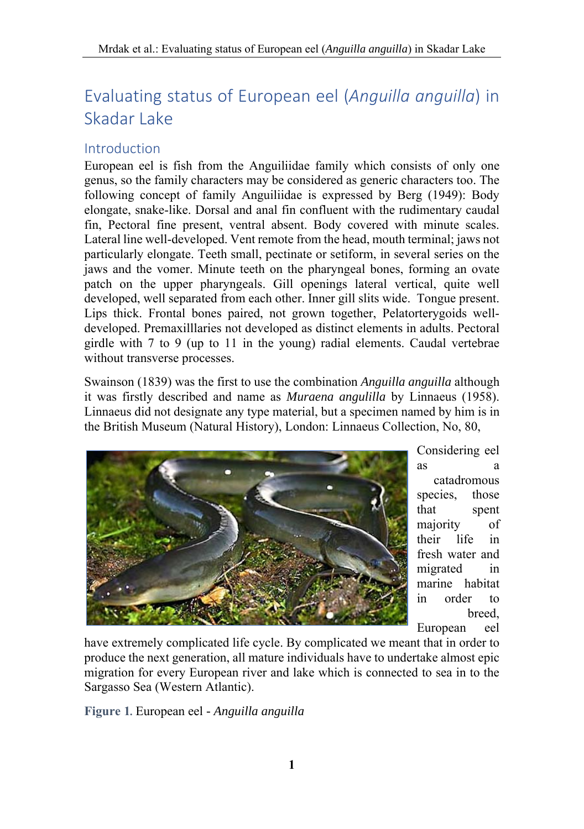## Evaluating status of European eel (*Anguilla anguilla*) in Skadar Lake

## Introduction

European eel is fish from the Anguiliidae family which consists of only one genus, so the family characters may be considered as generic characters too. The following concept of family Anguiliidae is expressed by Berg (1949): Body elongate, snake-like. Dorsal and anal fin confluent with the rudimentary caudal fin, Pectoral fine present, ventral absent. Body covered with minute scales. Lateral line well-developed. Vent remote from the head, mouth terminal; jaws not particularly elongate. Teeth small, pectinate or setiform, in several series on the jaws and the vomer. Minute teeth on the pharyngeal bones, forming an ovate patch on the upper pharyngeals. Gill openings lateral vertical, quite well developed, well separated from each other. Inner gill slits wide. Tongue present. Lips thick. Frontal bones paired, not grown together, Pelatorterygoids welldeveloped. Premaxilllaries not developed as distinct elements in adults. Pectoral girdle with 7 to 9 (up to 11 in the young) radial elements. Caudal vertebrae without transverse processes.

Swainson (1839) was the first to use the combination *Anguilla anguilla* although it was firstly described and name as *Muraena angulilla* by Linnaeus (1958). Linnaeus did not designate any type material, but a specimen named by him is in the British Museum (Natural History), London: Linnaeus Collection, No, 80,



Considering eel as a catadromous species, those that spent majority of their life in fresh water and migrated in marine habitat in order to breed, European eel

have extremely complicated life cycle. By complicated we meant that in order to produce the next generation, all mature individuals have to undertake almost epic migration for every European river and lake which is connected to sea in to the Sargasso Sea (Western Atlantic).

**Figure 1***.* European eel *- Anguilla anguilla*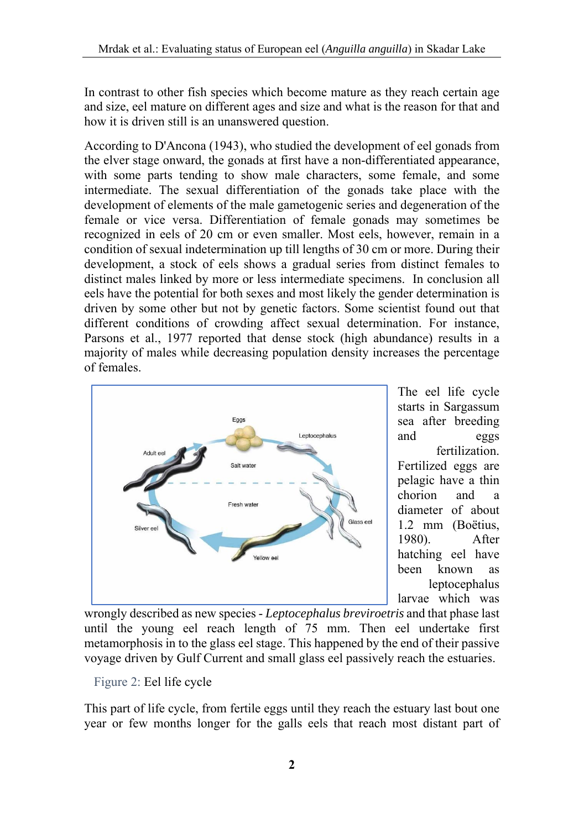In contrast to other fish species which become mature as they reach certain age and size, eel mature on different ages and size and what is the reason for that and how it is driven still is an unanswered question.

According to D'Ancona (1943), who studied the development of eel gonads from the elver stage onward, the gonads at first have a non-differentiated appearance, with some parts tending to show male characters, some female, and some intermediate. The sexual differentiation of the gonads take place with the development of elements of the male gametogenic series and degeneration of the female or vice versa. Differentiation of female gonads may sometimes be recognized in eels of 20 cm or even smaller. Most eels, however, remain in a condition of sexual indetermination up till lengths of 30 cm or more. During their development, a stock of eels shows a gradual series from distinct females to distinct males linked by more or less intermediate specimens. In conclusion all eels have the potential for both sexes and most likely the gender determination is driven by some other but not by genetic factors. Some scientist found out that different conditions of crowding affect sexual determination. For instance, Parsons et al., 1977 reported that dense stock (high abundance) results in a majority of males while decreasing population density increases the percentage of females.



The eel life cycle starts in Sargassum sea after breeding and eggs fertilization. Fertilized eggs are pelagic have a thin chorion and a diameter of about 1.2 mm (Boëtius, 1980). After hatching eel have been known as leptocephalus larvae which was

wrongly described as new species - *Leptocephalus breviroetris* and that phase last until the young eel reach length of 75 mm. Then eel undertake first metamorphosis in to the glass eel stage. This happened by the end of their passive voyage driven by Gulf Current and small glass eel passively reach the estuaries.

Figure 2: Eel life cycle

This part of life cycle, from fertile eggs until they reach the estuary last bout one year or few months longer for the galls eels that reach most distant part of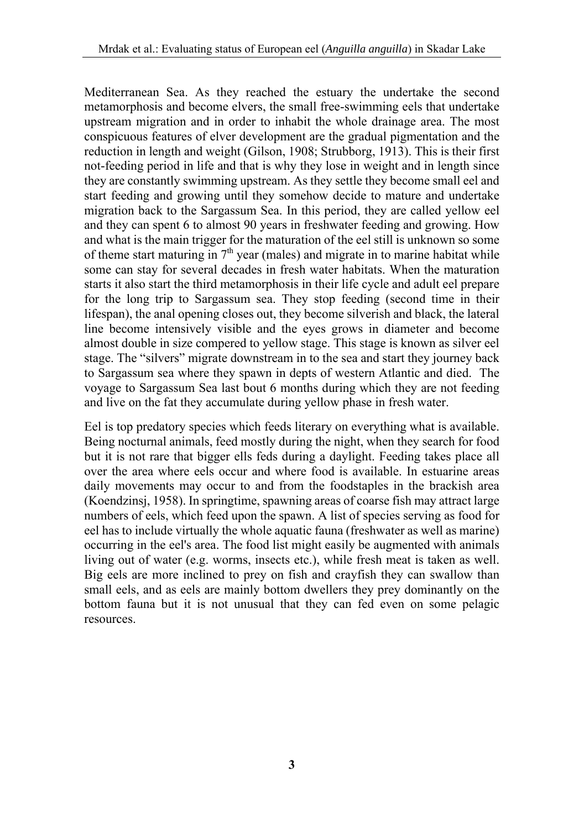Mediterranean Sea. As they reached the estuary the undertake the second metamorphosis and become elvers, the small free-swimming eels that undertake upstream migration and in order to inhabit the whole drainage area. The most conspicuous features of elver development are the gradual pigmentation and the reduction in length and weight (Gilson, 1908; Strubborg, 1913). This is their first not-feeding period in life and that is why they lose in weight and in length since they are constantly swimming upstream. As they settle they become small eel and start feeding and growing until they somehow decide to mature and undertake migration back to the Sargassum Sea. In this period, they are called yellow eel and they can spent 6 to almost 90 years in freshwater feeding and growing. How and what is the main trigger for the maturation of the eel still is unknown so some of theme start maturing in  $7<sup>th</sup>$  year (males) and migrate in to marine habitat while some can stay for several decades in fresh water habitats. When the maturation starts it also start the third metamorphosis in their life cycle and adult eel prepare for the long trip to Sargassum sea. They stop feeding (second time in their lifespan), the anal opening closes out, they become silverish and black, the lateral line become intensively visible and the eyes grows in diameter and become almost double in size compered to yellow stage. This stage is known as silver eel stage. The "silvers" migrate downstream in to the sea and start they journey back to Sargassum sea where they spawn in depts of western Atlantic and died. The voyage to Sargassum Sea last bout 6 months during which they are not feeding and live on the fat they accumulate during yellow phase in fresh water.

Eel is top predatory species which feeds literary on everything what is available. Being nocturnal animals, feed mostly during the night, when they search for food but it is not rare that bigger ells feds during a daylight. Feeding takes place all over the area where eels occur and where food is available. In estuarine areas daily movements may occur to and from the foodstaples in the brackish area (Koendzinsj, 1958). In springtime, spawning areas of coarse fish may attract large numbers of eels, which feed upon the spawn. A list of species serving as food for eel has to include virtually the whole aquatic fauna (freshwater as well as marine) occurring in the eel's area. The food list might easily be augmented with animals living out of water (e.g. worms, insects etc.), while fresh meat is taken as well. Big eels are more inclined to prey on fish and crayfish they can swallow than small eels, and as eels are mainly bottom dwellers they prey dominantly on the bottom fauna but it is not unusual that they can fed even on some pelagic resources.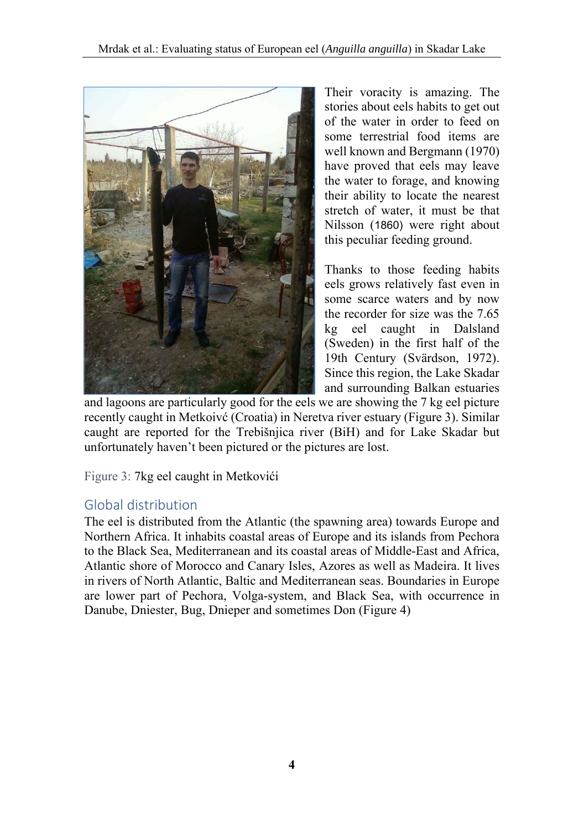

Their voracity is amazing. The stories about eels habits to get out of the water in order to feed on some terrestrial food items are well known and Bergmann (1970) have proved that eels may leave the water to forage, and knowing their ability to locate the nearest stretch of water, it must be that Nilsson (1860) were right about this peculiar feeding ground.

Thanks to those feeding habits eels grows relatively fast even in some scarce waters and by now the recorder for size was the 7.65 kg eel caught in Dalsland (Sweden) in the first half of the 19th Century (Svärdson, 1972). Since this region, the Lake Skadar and surrounding Balkan estuaries

and lagoons are particularly good for the eels we are showing the 7 kg eel picture recently caught in Metkoivć (Croatia) in Neretva river estuary (Figure 3). Similar caught are reported for the Trebišnjica river (BiH) and for Lake Skadar but unfortunately haven't been pictured or the pictures are lost.

Figure 3: 7kg eel caught in Metkovići

## Global distribution

The eel is distributed from the Atlantic (the spawning area) towards Europe and Northern Africa. It inhabits coastal areas of Europe and its islands from Pechora to the Black Sea, Mediterranean and its coastal areas of Middle-East and Africa, Atlantic shore of Morocco and Canary Isles, Azores as well as Madeira. It lives in rivers of North Atlantic, Baltic and Mediterranean seas. Boundaries in Europe are lower part of Pechora, Volga-system, and Black Sea, with occurrence in Danube, Dniester, Bug, Dnieper and sometimes Don (Figure 4)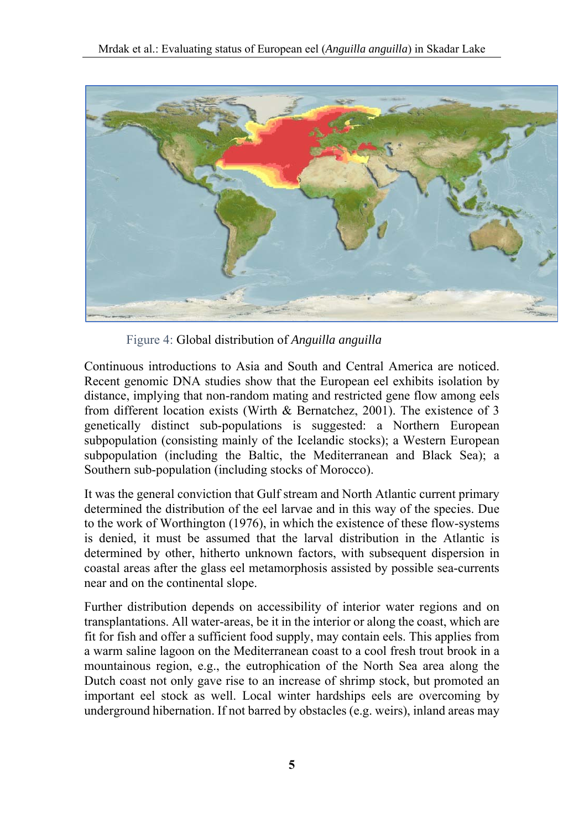

Figure 4: Global distribution of *Anguilla anguilla*

Continuous introductions to Asia and South and Central America are noticed. Recent genomic DNA studies show that the European eel exhibits isolation by distance, implying that non-random mating and restricted gene flow among eels from different location exists (Wirth & Bernatchez, 2001). The existence of 3 genetically distinct sub-populations is suggested: a Northern European subpopulation (consisting mainly of the Icelandic stocks); a Western European subpopulation (including the Baltic, the Mediterranean and Black Sea); a Southern sub-population (including stocks of Morocco).

It was the general conviction that Gulf stream and North Atlantic current primary determined the distribution of the eel larvae and in this way of the species. Due to the work of Worthington (1976), in which the existence of these flow-systems is denied, it must be assumed that the larval distribution in the Atlantic is determined by other, hitherto unknown factors, with subsequent dispersion in coastal areas after the glass eel metamorphosis assisted by possible sea-currents near and on the continental slope.

Further distribution depends on accessibility of interior water regions and on transplantations. All water-areas, be it in the interior or along the coast, which are fit for fish and offer a sufficient food supply, may contain eels. This applies from a warm saline lagoon on the Mediterranean coast to a cool fresh trout brook in a mountainous region, e.g., the eutrophication of the North Sea area along the Dutch coast not only gave rise to an increase of shrimp stock, but promoted an important eel stock as well. Local winter hardships eels are overcoming by underground hibernation. If not barred by obstacles (e.g. weirs), inland areas may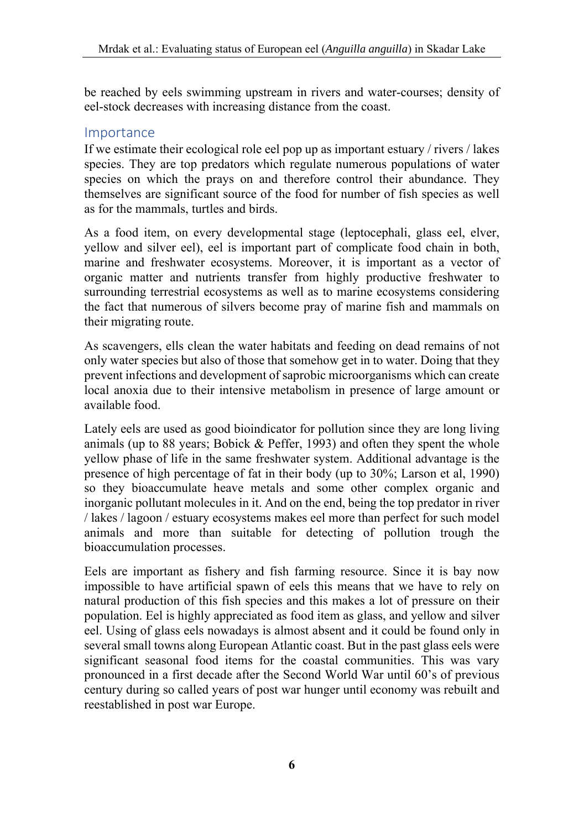be reached by eels swimming upstream in rivers and water-courses; density of eel-stock decreases with increasing distance from the coast.

### Importance

If we estimate their ecological role eel pop up as important estuary / rivers / lakes species. They are top predators which regulate numerous populations of water species on which the prays on and therefore control their abundance. They themselves are significant source of the food for number of fish species as well as for the mammals, turtles and birds.

As a food item, on every developmental stage (leptocephali, glass eel, elver, yellow and silver eel), eel is important part of complicate food chain in both, marine and freshwater ecosystems. Moreover, it is important as a vector of organic matter and nutrients transfer from highly productive freshwater to surrounding terrestrial ecosystems as well as to marine ecosystems considering the fact that numerous of silvers become pray of marine fish and mammals on their migrating route.

As scavengers, ells clean the water habitats and feeding on dead remains of not only water species but also of those that somehow get in to water. Doing that they prevent infections and development of saprobic microorganisms which can create local anoxia due to their intensive metabolism in presence of large amount or available food.

Lately eels are used as good bioindicator for pollution since they are long living animals (up to 88 years; Bobick & Peffer, 1993) and often they spent the whole yellow phase of life in the same freshwater system. Additional advantage is the presence of high percentage of fat in their body (up to 30%; Larson et al, 1990) so they bioaccumulate heave metals and some other complex organic and inorganic pollutant molecules in it. And on the end, being the top predator in river / lakes / lagoon / estuary ecosystems makes eel more than perfect for such model animals and more than suitable for detecting of pollution trough the bioaccumulation processes.

Eels are important as fishery and fish farming resource. Since it is bay now impossible to have artificial spawn of eels this means that we have to rely on natural production of this fish species and this makes a lot of pressure on their population. Eel is highly appreciated as food item as glass, and yellow and silver eel. Using of glass eels nowadays is almost absent and it could be found only in several small towns along European Atlantic coast. But in the past glass eels were significant seasonal food items for the coastal communities. This was vary pronounced in a first decade after the Second World War until 60's of previous century during so called years of post war hunger until economy was rebuilt and reestablished in post war Europe.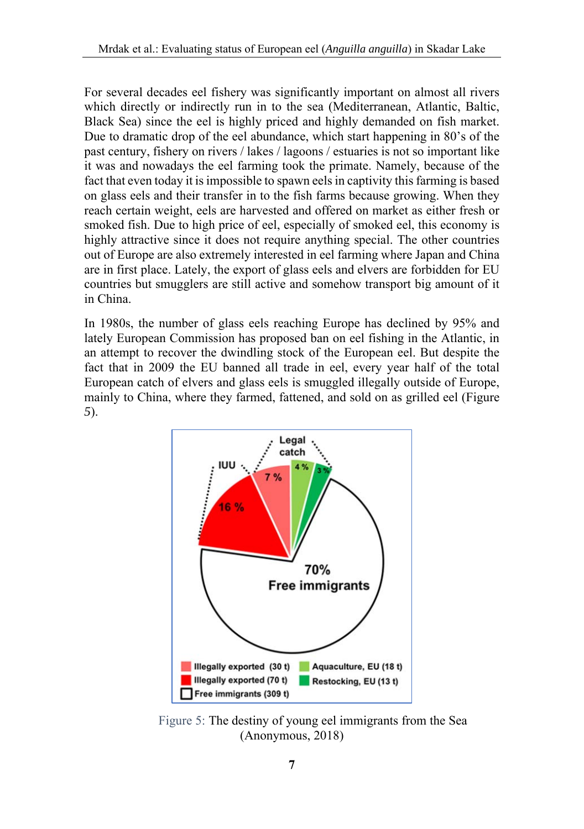For several decades eel fishery was significantly important on almost all rivers which directly or indirectly run in to the sea (Mediterranean, Atlantic, Baltic, Black Sea) since the eel is highly priced and highly demanded on fish market. Due to dramatic drop of the eel abundance, which start happening in 80's of the past century, fishery on rivers / lakes / lagoons / estuaries is not so important like it was and nowadays the eel farming took the primate. Namely, because of the fact that even today it is impossible to spawn eels in captivity this farming is based on glass eels and their transfer in to the fish farms because growing. When they reach certain weight, eels are harvested and offered on market as either fresh or smoked fish. Due to high price of eel, especially of smoked eel, this economy is highly attractive since it does not require anything special. The other countries out of Europe are also extremely interested in eel farming where Japan and China are in first place. Lately, the export of glass eels and elvers are forbidden for EU countries but smugglers are still active and somehow transport big amount of it in China.

In 1980s, the number of glass eels reaching Europe has declined by 95% and lately European Commission has proposed ban on eel fishing in the Atlantic, in an attempt to recover the dwindling stock of the European eel. But despite the fact that in 2009 the EU banned all trade in eel, every year half of the total European catch of elvers and glass eels is smuggled illegally outside of Europe, mainly to China, where they farmed, fattened, and sold on as grilled eel (Figure *5*).



Figure 5: The destiny of young eel immigrants from the Sea (Anonymous, 2018)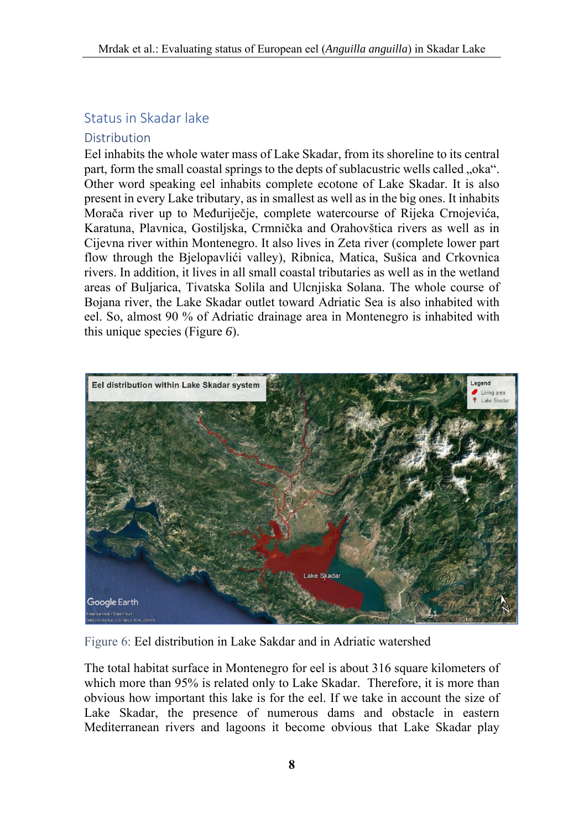## Status in Skadar lake

#### Distribution

Eel inhabits the whole water mass of Lake Skadar, from its shoreline to its central part, form the small coastal springs to the depts of sublacustric wells called "oka". Other word speaking eel inhabits complete ecotone of Lake Skadar. It is also present in every Lake tributary, as in smallest as well as in the big ones. It inhabits Morača river up to Međuriječje, complete watercourse of Rijeka Crnojevića, Karatuna, Plavnica, Gostiljska, Crmnička and Orahovštica rivers as well as in Cijevna river within Montenegro. It also lives in Zeta river (complete lower part flow through the Bjelopavlići valley), Ribnica, Matica, Sušica and Crkovnica rivers. In addition, it lives in all small coastal tributaries as well as in the wetland areas of Buljarica, Tivatska Solila and Ulcnjiska Solana. The whole course of Bojana river, the Lake Skadar outlet toward Adriatic Sea is also inhabited with eel. So, almost 90 % of Adriatic drainage area in Montenegro is inhabited with this unique species (Figure *6*).



Figure 6: Eel distribution in Lake Sakdar and in Adriatic watershed

The total habitat surface in Montenegro for eel is about 316 square kilometers of which more than 95% is related only to Lake Skadar. Therefore, it is more than obvious how important this lake is for the eel. If we take in account the size of Lake Skadar, the presence of numerous dams and obstacle in eastern Mediterranean rivers and lagoons it become obvious that Lake Skadar play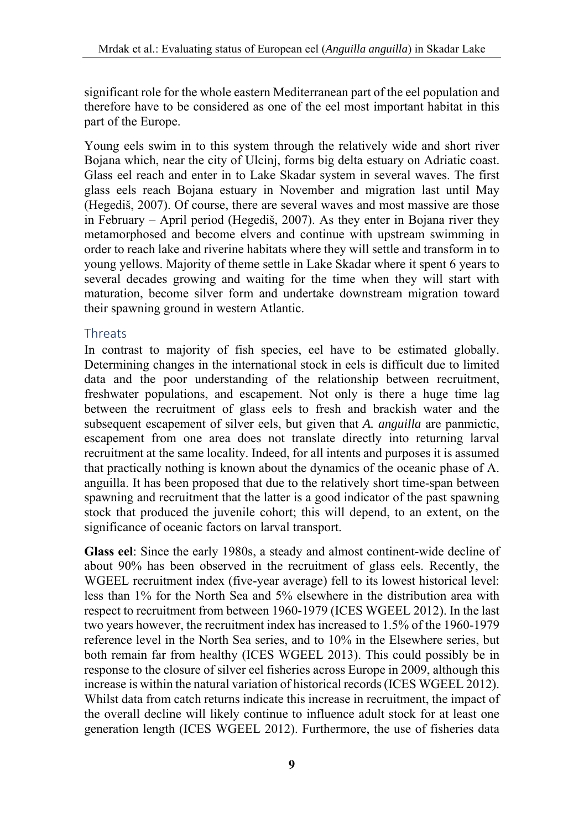significant role for the whole eastern Mediterranean part of the eel population and therefore have to be considered as one of the eel most important habitat in this part of the Europe.

Young eels swim in to this system through the relatively wide and short river Bojana which, near the city of Ulcinj, forms big delta estuary on Adriatic coast. Glass eel reach and enter in to Lake Skadar system in several waves. The first glass eels reach Bojana estuary in November and migration last until May (Hegediš, 2007). Of course, there are several waves and most massive are those in February – April period (Hegediš, 2007). As they enter in Bojana river they metamorphosed and become elvers and continue with upstream swimming in order to reach lake and riverine habitats where they will settle and transform in to young yellows. Majority of theme settle in Lake Skadar where it spent 6 years to several decades growing and waiting for the time when they will start with maturation, become silver form and undertake downstream migration toward their spawning ground in western Atlantic.

#### Threats

In contrast to majority of fish species, eel have to be estimated globally. Determining changes in the international stock in eels is difficult due to limited data and the poor understanding of the relationship between recruitment, freshwater populations, and escapement. Not only is there a huge time lag between the recruitment of glass eels to fresh and brackish water and the subsequent escapement of silver eels, but given that *A. anguilla* are panmictic, escapement from one area does not translate directly into returning larval recruitment at the same locality. Indeed, for all intents and purposes it is assumed that practically nothing is known about the dynamics of the oceanic phase of A. anguilla. It has been proposed that due to the relatively short time-span between spawning and recruitment that the latter is a good indicator of the past spawning stock that produced the juvenile cohort; this will depend, to an extent, on the significance of oceanic factors on larval transport.

**Glass eel**: Since the early 1980s, a steady and almost continent-wide decline of about 90% has been observed in the recruitment of glass eels. Recently, the WGEEL recruitment index (five-year average) fell to its lowest historical level: less than 1% for the North Sea and 5% elsewhere in the distribution area with respect to recruitment from between 1960-1979 (ICES WGEEL 2012). In the last two years however, the recruitment index has increased to 1.5% of the 1960-1979 reference level in the North Sea series, and to 10% in the Elsewhere series, but both remain far from healthy (ICES WGEEL 2013). This could possibly be in response to the closure of silver eel fisheries across Europe in 2009, although this increase is within the natural variation of historical records (ICES WGEEL 2012). Whilst data from catch returns indicate this increase in recruitment, the impact of the overall decline will likely continue to influence adult stock for at least one generation length (ICES WGEEL 2012). Furthermore, the use of fisheries data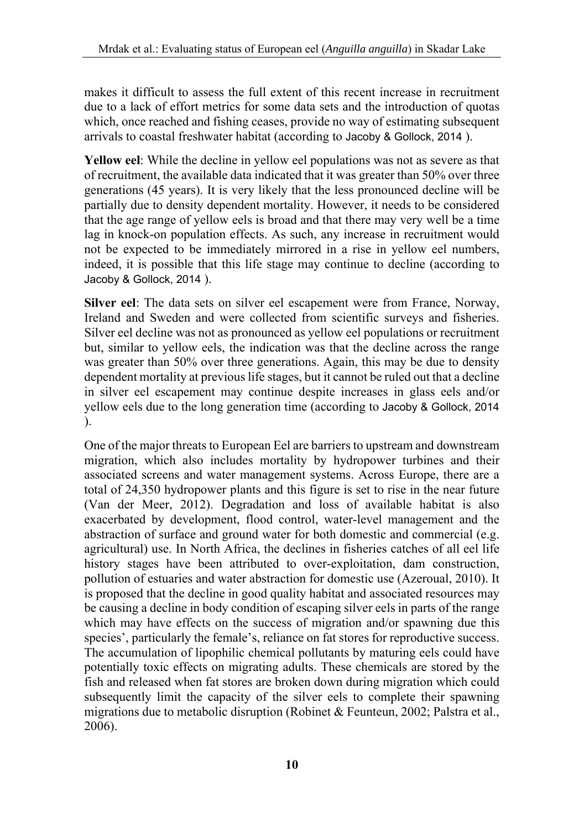makes it difficult to assess the full extent of this recent increase in recruitment due to a lack of effort metrics for some data sets and the introduction of quotas which, once reached and fishing ceases, provide no way of estimating subsequent arrivals to coastal freshwater habitat (according to Jacoby & Gollock, 2014 ).

**Yellow eel**: While the decline in yellow eel populations was not as severe as that of recruitment, the available data indicated that it was greater than 50% over three generations (45 years). It is very likely that the less pronounced decline will be partially due to density dependent mortality. However, it needs to be considered that the age range of yellow eels is broad and that there may very well be a time lag in knock-on population effects. As such, any increase in recruitment would not be expected to be immediately mirrored in a rise in yellow eel numbers, indeed, it is possible that this life stage may continue to decline (according to Jacoby & Gollock, 2014 ).

**Silver eel**: The data sets on silver eel escapement were from France, Norway, Ireland and Sweden and were collected from scientific surveys and fisheries. Silver eel decline was not as pronounced as yellow eel populations or recruitment but, similar to yellow eels, the indication was that the decline across the range was greater than 50% over three generations. Again, this may be due to density dependent mortality at previous life stages, but it cannot be ruled out that a decline in silver eel escapement may continue despite increases in glass eels and/or yellow eels due to the long generation time (according to Jacoby & Gollock, 2014 ).

One of the major threats to European Eel are barriers to upstream and downstream migration, which also includes mortality by hydropower turbines and their associated screens and water management systems. Across Europe, there are a total of 24,350 hydropower plants and this figure is set to rise in the near future (Van der Meer, 2012). Degradation and loss of available habitat is also exacerbated by development, flood control, water-level management and the abstraction of surface and ground water for both domestic and commercial (e.g. agricultural) use. In North Africa, the declines in fisheries catches of all eel life history stages have been attributed to over-exploitation, dam construction, pollution of estuaries and water abstraction for domestic use (Azeroual, 2010). It is proposed that the decline in good quality habitat and associated resources may be causing a decline in body condition of escaping silver eels in parts of the range which may have effects on the success of migration and/or spawning due this species', particularly the female's, reliance on fat stores for reproductive success. The accumulation of lipophilic chemical pollutants by maturing eels could have potentially toxic effects on migrating adults. These chemicals are stored by the fish and released when fat stores are broken down during migration which could subsequently limit the capacity of the silver eels to complete their spawning migrations due to metabolic disruption (Robinet & Feunteun, 2002; Palstra et al., 2006).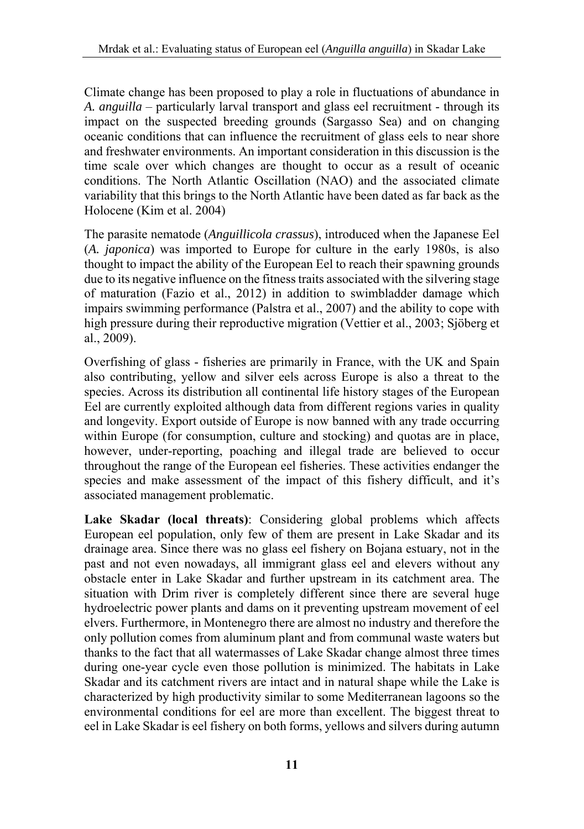Climate change has been proposed to play a role in fluctuations of abundance in *A. anguilla* – particularly larval transport and glass eel recruitment - through its impact on the suspected breeding grounds (Sargasso Sea) and on changing oceanic conditions that can influence the recruitment of glass eels to near shore and freshwater environments. An important consideration in this discussion is the time scale over which changes are thought to occur as a result of oceanic conditions. The North Atlantic Oscillation (NAO) and the associated climate variability that this brings to the North Atlantic have been dated as far back as the Holocene (Kim et al. 2004)

The parasite nematode (*Anguillicola crassus*), introduced when the Japanese Eel (*A. japonica*) was imported to Europe for culture in the early 1980s, is also thought to impact the ability of the European Eel to reach their spawning grounds due to its negative influence on the fitness traits associated with the silvering stage of maturation (Fazio et al., 2012) in addition to swimbladder damage which impairs swimming performance (Palstra et al., 2007) and the ability to cope with high pressure during their reproductive migration (Vettier et al., 2003; Sjöberg et al., 2009).

Overfishing of glass - fisheries are primarily in France, with the UK and Spain also contributing, yellow and silver eels across Europe is also a threat to the species. Across its distribution all continental life history stages of the European Eel are currently exploited although data from different regions varies in quality and longevity. Export outside of Europe is now banned with any trade occurring within Europe (for consumption, culture and stocking) and quotas are in place, however, under-reporting, poaching and illegal trade are believed to occur throughout the range of the European eel fisheries. These activities endanger the species and make assessment of the impact of this fishery difficult, and it's associated management problematic.

**Lake Skadar (local threats)**: Considering global problems which affects European eel population, only few of them are present in Lake Skadar and its drainage area. Since there was no glass eel fishery on Bojana estuary, not in the past and not even nowadays, all immigrant glass eel and elevers without any obstacle enter in Lake Skadar and further upstream in its catchment area. The situation with Drim river is completely different since there are several huge hydroelectric power plants and dams on it preventing upstream movement of eel elvers. Furthermore, in Montenegro there are almost no industry and therefore the only pollution comes from aluminum plant and from communal waste waters but thanks to the fact that all watermasses of Lake Skadar change almost three times during one-year cycle even those pollution is minimized. The habitats in Lake Skadar and its catchment rivers are intact and in natural shape while the Lake is characterized by high productivity similar to some Mediterranean lagoons so the environmental conditions for eel are more than excellent. The biggest threat to eel in Lake Skadar is eel fishery on both forms, yellows and silvers during autumn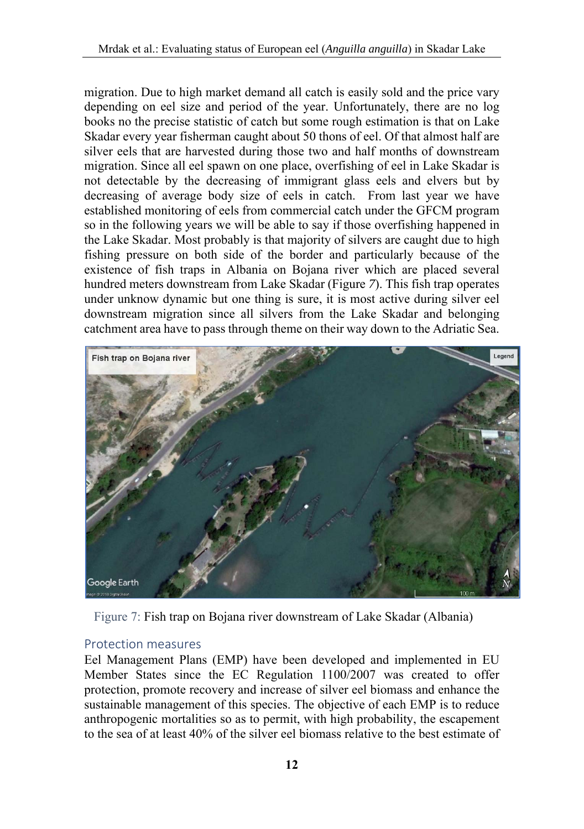migration. Due to high market demand all catch is easily sold and the price vary depending on eel size and period of the year. Unfortunately, there are no log books no the precise statistic of catch but some rough estimation is that on Lake Skadar every year fisherman caught about 50 thons of eel. Of that almost half are silver eels that are harvested during those two and half months of downstream migration. Since all eel spawn on one place, overfishing of eel in Lake Skadar is not detectable by the decreasing of immigrant glass eels and elvers but by decreasing of average body size of eels in catch. From last year we have established monitoring of eels from commercial catch under the GFCM program so in the following years we will be able to say if those overfishing happened in the Lake Skadar. Most probably is that majority of silvers are caught due to high fishing pressure on both side of the border and particularly because of the existence of fish traps in Albania on Bojana river which are placed several hundred meters downstream from Lake Skadar (Figure *7*). This fish trap operates under unknow dynamic but one thing is sure, it is most active during silver eel downstream migration since all silvers from the Lake Skadar and belonging catchment area have to pass through theme on their way down to the Adriatic Sea.



Figure 7: Fish trap on Bojana river downstream of Lake Skadar (Albania)

#### Protection measures

Eel Management Plans (EMP) have been developed and implemented in EU Member States since the EC Regulation 1100/2007 was created to offer protection, promote recovery and increase of silver eel biomass and enhance the sustainable management of this species. The objective of each EMP is to reduce anthropogenic mortalities so as to permit, with high probability, the escapement to the sea of at least 40% of the silver eel biomass relative to the best estimate of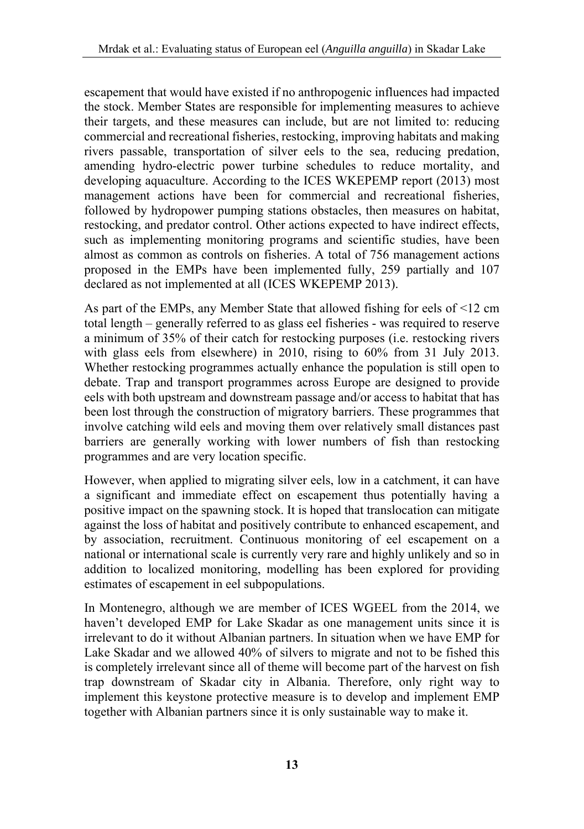escapement that would have existed if no anthropogenic influences had impacted the stock. Member States are responsible for implementing measures to achieve their targets, and these measures can include, but are not limited to: reducing commercial and recreational fisheries, restocking, improving habitats and making rivers passable, transportation of silver eels to the sea, reducing predation, amending hydro-electric power turbine schedules to reduce mortality, and developing aquaculture. According to the ICES WKEPEMP report (2013) most management actions have been for commercial and recreational fisheries, followed by hydropower pumping stations obstacles, then measures on habitat, restocking, and predator control. Other actions expected to have indirect effects, such as implementing monitoring programs and scientific studies, have been almost as common as controls on fisheries. A total of 756 management actions proposed in the EMPs have been implemented fully, 259 partially and 107 declared as not implemented at all (ICES WKEPEMP 2013).

As part of the EMPs, any Member State that allowed fishing for eels of <12 cm total length – generally referred to as glass eel fisheries - was required to reserve a minimum of 35% of their catch for restocking purposes (i.e. restocking rivers with glass eels from elsewhere) in 2010, rising to 60% from 31 July 2013. Whether restocking programmes actually enhance the population is still open to debate. Trap and transport programmes across Europe are designed to provide eels with both upstream and downstream passage and/or access to habitat that has been lost through the construction of migratory barriers. These programmes that involve catching wild eels and moving them over relatively small distances past barriers are generally working with lower numbers of fish than restocking programmes and are very location specific.

However, when applied to migrating silver eels, low in a catchment, it can have a significant and immediate effect on escapement thus potentially having a positive impact on the spawning stock. It is hoped that translocation can mitigate against the loss of habitat and positively contribute to enhanced escapement, and by association, recruitment. Continuous monitoring of eel escapement on a national or international scale is currently very rare and highly unlikely and so in addition to localized monitoring, modelling has been explored for providing estimates of escapement in eel subpopulations.

In Montenegro, although we are member of ICES WGEEL from the 2014, we haven't developed EMP for Lake Skadar as one management units since it is irrelevant to do it without Albanian partners. In situation when we have EMP for Lake Skadar and we allowed 40% of silvers to migrate and not to be fished this is completely irrelevant since all of theme will become part of the harvest on fish trap downstream of Skadar city in Albania. Therefore, only right way to implement this keystone protective measure is to develop and implement EMP together with Albanian partners since it is only sustainable way to make it.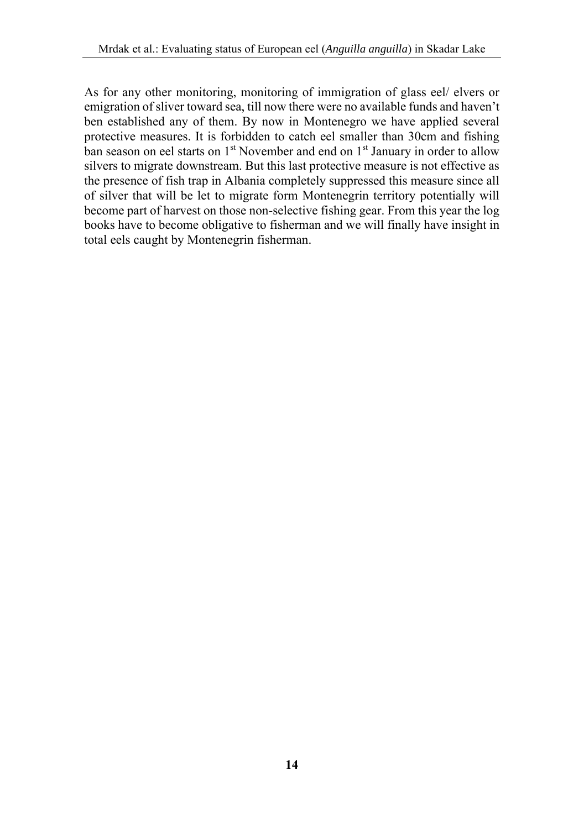As for any other monitoring, monitoring of immigration of glass eel/ elvers or emigration of sliver toward sea, till now there were no available funds and haven't ben established any of them. By now in Montenegro we have applied several protective measures. It is forbidden to catch eel smaller than 30cm and fishing ban season on eel starts on  $1<sup>st</sup>$  November and end on  $1<sup>st</sup>$  January in order to allow silvers to migrate downstream. But this last protective measure is not effective as the presence of fish trap in Albania completely suppressed this measure since all of silver that will be let to migrate form Montenegrin territory potentially will become part of harvest on those non-selective fishing gear. From this year the log books have to become obligative to fisherman and we will finally have insight in total eels caught by Montenegrin fisherman.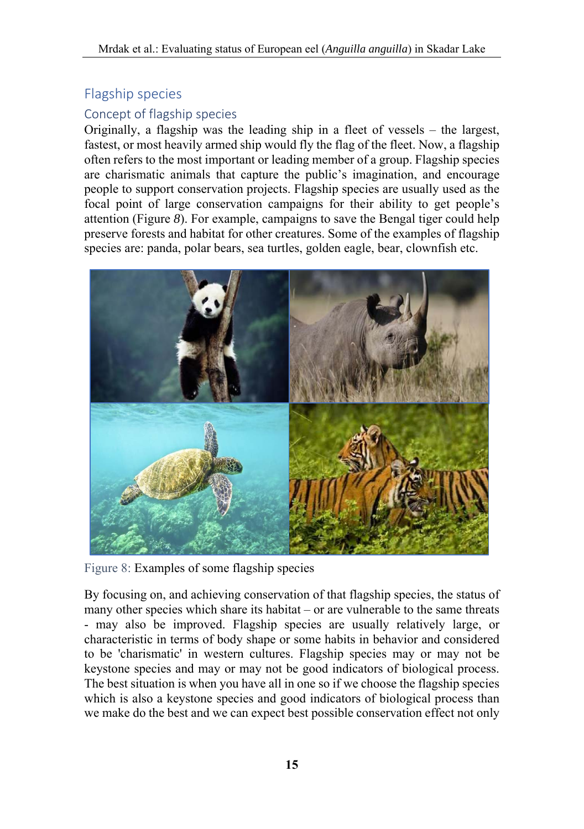## Flagship species

## Concept of flagship species

Originally, a flagship was the leading ship in a fleet of vessels – the largest, fastest, or most heavily armed ship would fly the flag of the fleet. Now, a flagship often refers to the most important or leading member of a group. Flagship species are charismatic animals that capture the public's imagination, and encourage people to support conservation projects. Flagship species are usually used as the focal point of large conservation campaigns for their ability to get people's attention (Figure *8*). For example, campaigns to save the Bengal tiger could help preserve forests and habitat for other creatures. Some of the examples of flagship species are: panda, polar bears, sea turtles, golden eagle, bear, clownfish etc.



Figure 8: Examples of some flagship species

By focusing on, and achieving conservation of that flagship species, the status of many other species which share its habitat – or are vulnerable to the same threats - may also be improved. Flagship species are usually relatively large, or characteristic in terms of body shape or some habits in behavior and considered to be 'charismatic' in western cultures. Flagship species may or may not be keystone species and may or may not be good indicators of biological process. The best situation is when you have all in one so if we choose the flagship species which is also a keystone species and good indicators of biological process than we make do the best and we can expect best possible conservation effect not only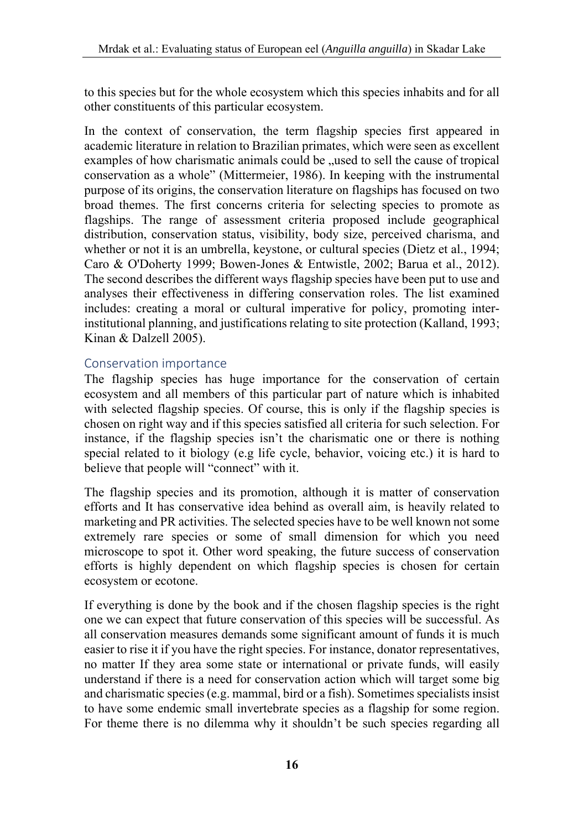to this species but for the whole ecosystem which this species inhabits and for all other constituents of this particular ecosystem.

In the context of conservation, the term flagship species first appeared in academic literature in relation to Brazilian primates, which were seen as excellent examples of how charismatic animals could be , used to sell the cause of tropical conservation as a whole" (Mittermeier, 1986). In keeping with the instrumental purpose of its origins, the conservation literature on flagships has focused on two broad themes. The first concerns criteria for selecting species to promote as flagships. The range of assessment criteria proposed include geographical distribution, conservation status, visibility, body size, perceived charisma, and whether or not it is an umbrella, keystone, or cultural species (Dietz et al., 1994; Caro & O'Doherty 1999; Bowen-Jones & Entwistle, 2002; Barua et al., 2012). The second describes the different ways flagship species have been put to use and analyses their effectiveness in differing conservation roles. The list examined includes: creating a moral or cultural imperative for policy, promoting interinstitutional planning, and justifications relating to site protection (Kalland, 1993; Kinan & Dalzell 2005).

#### Conservation importance

The flagship species has huge importance for the conservation of certain ecosystem and all members of this particular part of nature which is inhabited with selected flagship species. Of course, this is only if the flagship species is chosen on right way and if this species satisfied all criteria for such selection. For instance, if the flagship species isn't the charismatic one or there is nothing special related to it biology (e.g life cycle, behavior, voicing etc.) it is hard to believe that people will "connect" with it.

The flagship species and its promotion, although it is matter of conservation efforts and It has conservative idea behind as overall aim, is heavily related to marketing and PR activities. The selected species have to be well known not some extremely rare species or some of small dimension for which you need microscope to spot it. Other word speaking, the future success of conservation efforts is highly dependent on which flagship species is chosen for certain ecosystem or ecotone.

If everything is done by the book and if the chosen flagship species is the right one we can expect that future conservation of this species will be successful. As all conservation measures demands some significant amount of funds it is much easier to rise it if you have the right species. For instance, donator representatives, no matter If they area some state or international or private funds, will easily understand if there is a need for conservation action which will target some big and charismatic species (e.g. mammal, bird or a fish). Sometimes specialists insist to have some endemic small invertebrate species as a flagship for some region. For theme there is no dilemma why it shouldn't be such species regarding all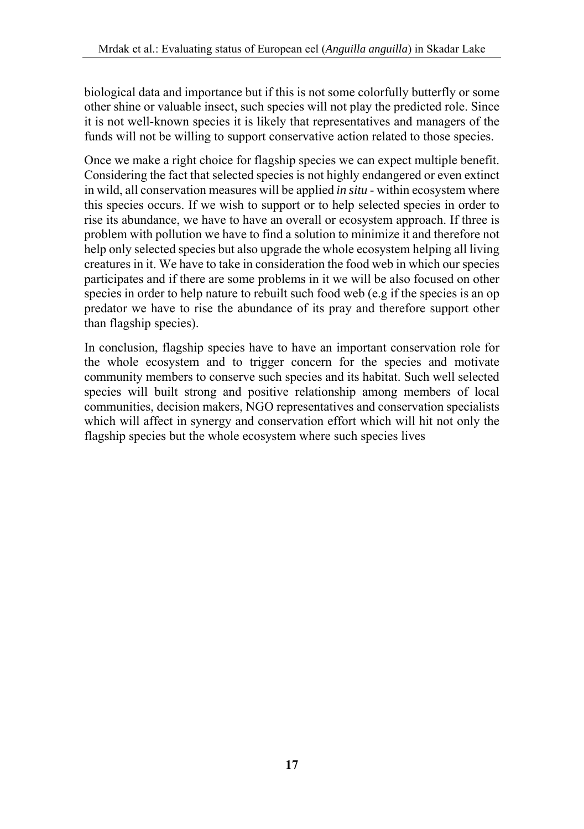biological data and importance but if this is not some colorfully butterfly or some other shine or valuable insect, such species will not play the predicted role. Since it is not well-known species it is likely that representatives and managers of the funds will not be willing to support conservative action related to those species.

Once we make a right choice for flagship species we can expect multiple benefit. Considering the fact that selected species is not highly endangered or even extinct in wild, all conservation measures will be applied *in situ* - within ecosystem where this species occurs. If we wish to support or to help selected species in order to rise its abundance, we have to have an overall or ecosystem approach. If three is problem with pollution we have to find a solution to minimize it and therefore not help only selected species but also upgrade the whole ecosystem helping all living creatures in it. We have to take in consideration the food web in which our species participates and if there are some problems in it we will be also focused on other species in order to help nature to rebuilt such food web (e.g if the species is an op predator we have to rise the abundance of its pray and therefore support other than flagship species).

In conclusion, flagship species have to have an important conservation role for the whole ecosystem and to trigger concern for the species and motivate community members to conserve such species and its habitat. Such well selected species will built strong and positive relationship among members of local communities, decision makers, NGO representatives and conservation specialists which will affect in synergy and conservation effort which will hit not only the flagship species but the whole ecosystem where such species lives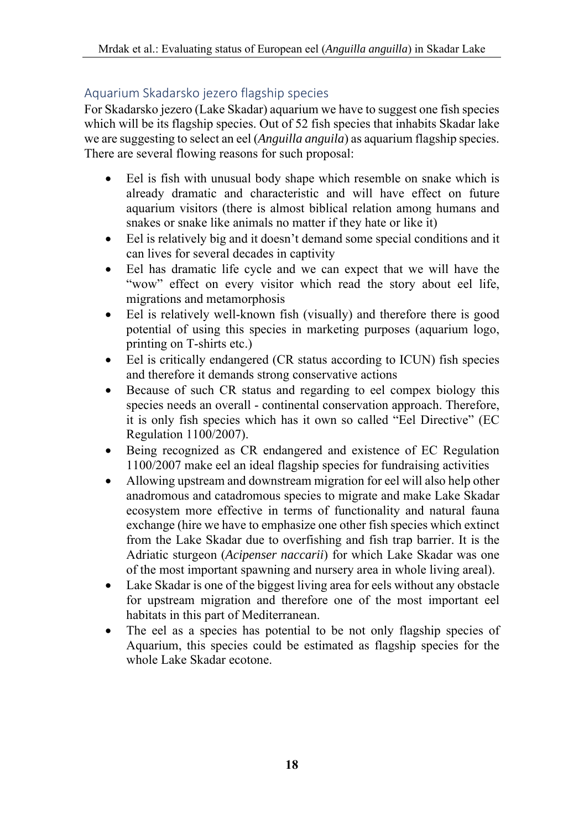### Aquarium Skadarsko jezero flagship species

For Skadarsko jezero (Lake Skadar) aquarium we have to suggest one fish species which will be its flagship species. Out of 52 fish species that inhabits Skadar lake we are suggesting to select an eel (*Anguilla anguila*) as aquarium flagship species. There are several flowing reasons for such proposal:

- Eel is fish with unusual body shape which resemble on snake which is already dramatic and characteristic and will have effect on future aquarium visitors (there is almost biblical relation among humans and snakes or snake like animals no matter if they hate or like it)
- Eel is relatively big and it doesn't demand some special conditions and it can lives for several decades in captivity
- Eel has dramatic life cycle and we can expect that we will have the "wow" effect on every visitor which read the story about eel life, migrations and metamorphosis
- Eel is relatively well-known fish (visually) and therefore there is good potential of using this species in marketing purposes (aquarium logo, printing on T-shirts etc.)
- Eel is critically endangered (CR status according to ICUN) fish species and therefore it demands strong conservative actions
- Because of such CR status and regarding to eel compex biology this species needs an overall - continental conservation approach. Therefore, it is only fish species which has it own so called "Eel Directive" (EC Regulation 1100/2007).
- Being recognized as CR endangered and existence of EC Regulation 1100/2007 make eel an ideal flagship species for fundraising activities
- Allowing upstream and downstream migration for eel will also help other anadromous and catadromous species to migrate and make Lake Skadar ecosystem more effective in terms of functionality and natural fauna exchange (hire we have to emphasize one other fish species which extinct from the Lake Skadar due to overfishing and fish trap barrier. It is the Adriatic sturgeon (*Acipenser naccarii*) for which Lake Skadar was one of the most important spawning and nursery area in whole living areal).
- Lake Skadar is one of the biggest living area for eels without any obstacle for upstream migration and therefore one of the most important eel habitats in this part of Mediterranean.
- The eel as a species has potential to be not only flagship species of Aquarium, this species could be estimated as flagship species for the whole Lake Skadar ecotone.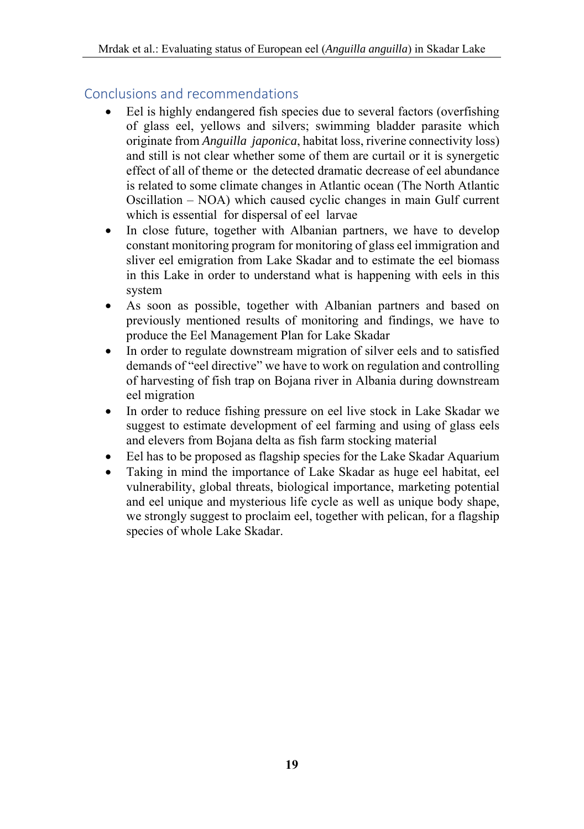## Conclusions and recommendations

- Eel is highly endangered fish species due to several factors (overfishing of glass eel, yellows and silvers; swimming bladder parasite which originate from *Anguilla japonica*, habitat loss, riverine connectivity loss) and still is not clear whether some of them are curtail or it is synergetic effect of all of theme or the detected dramatic decrease of eel abundance is related to some climate changes in Atlantic ocean (The North Atlantic Oscillation – NOA) which caused cyclic changes in main Gulf current which is essential for dispersal of eel larvae
- In close future, together with Albanian partners, we have to develop constant monitoring program for monitoring of glass eel immigration and sliver eel emigration from Lake Skadar and to estimate the eel biomass in this Lake in order to understand what is happening with eels in this system
- As soon as possible, together with Albanian partners and based on previously mentioned results of monitoring and findings, we have to produce the Eel Management Plan for Lake Skadar
- In order to regulate downstream migration of silver eels and to satisfied demands of "eel directive" we have to work on regulation and controlling of harvesting of fish trap on Bojana river in Albania during downstream eel migration
- In order to reduce fishing pressure on eel live stock in Lake Skadar we suggest to estimate development of eel farming and using of glass eels and elevers from Bojana delta as fish farm stocking material
- Eel has to be proposed as flagship species for the Lake Skadar Aquarium
- Taking in mind the importance of Lake Skadar as huge eel habitat, eel vulnerability, global threats, biological importance, marketing potential and eel unique and mysterious life cycle as well as unique body shape, we strongly suggest to proclaim eel, together with pelican, for a flagship species of whole Lake Skadar.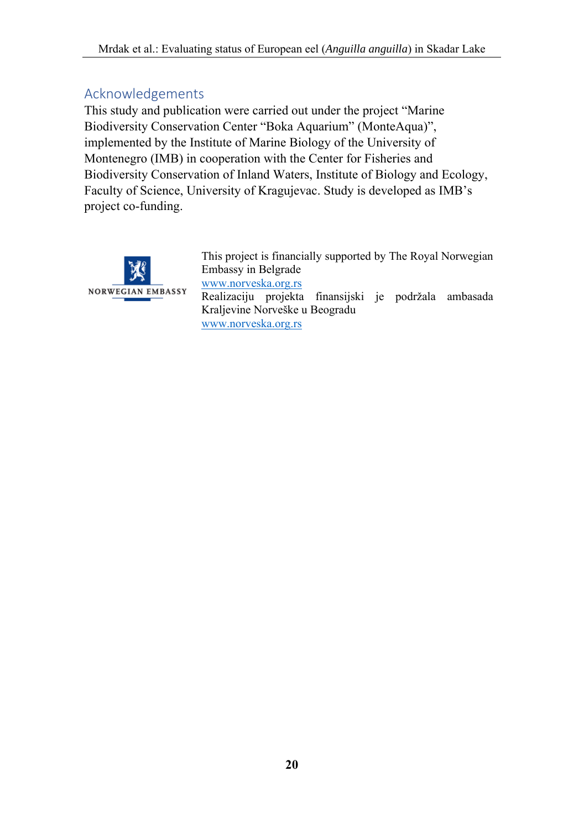## Acknowledgements

This study and publication were carried out under the project "Marine Biodiversity Conservation Center "Boka Aquarium" (MonteAqua)", implemented by the Institute of Marine Biology of the University of Montenegro (IMB) in cooperation with the Center for Fisheries and Biodiversity Conservation of Inland Waters, Institute of Biology and Ecology, Faculty of Science, University of Kragujevac. Study is developed as IMB's project co-funding.



This project is financially supported by The Royal Norwegian Embassy in Belgrade www.norveska.org.rs Realizaciju projekta finansijski je podržala ambasada Kraljevine Norveške u Beogradu www.norveska.org.rs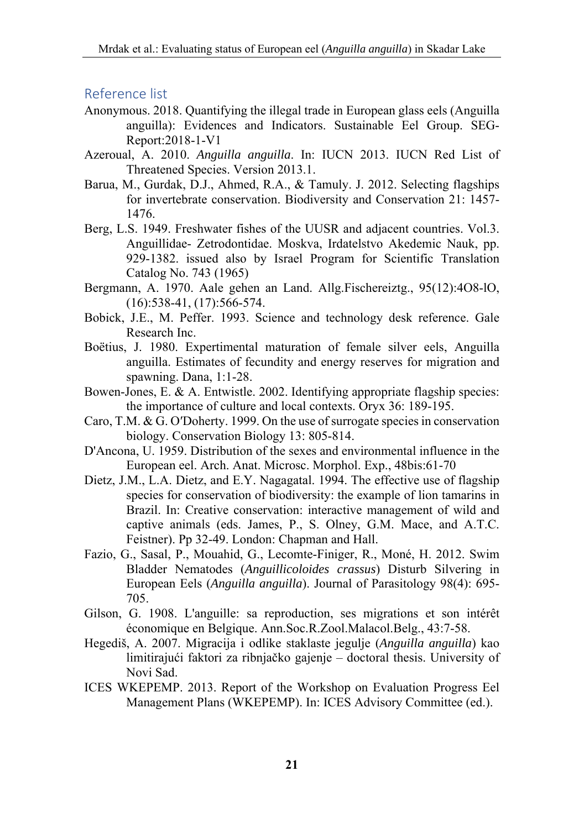#### Reference list

- Anonymous. 2018. Quantifying the illegal trade in European glass eels (Anguilla anguilla): Evidences and Indicators. Sustainable Eel Group. SEG-Report:2018-1-V1
- Azeroual, A. 2010. *Anguilla anguilla*. In: IUCN 2013. IUCN Red List of Threatened Species. Version 2013.1.
- Barua, M., Gurdak, D.J., Ahmed, R.A., & Tamuly. J. 2012. Selecting flagships for invertebrate conservation. Biodiversity and Conservation 21: 1457- 1476.
- Berg, L.S. 1949. Freshwater fishes of the UUSR and adjacent countries. Vol.3. Anguillidae- Zetrodontidae. Moskva, Irdatelstvo Akedemic Nauk, pp. 929-1382. issued also by Israel Program for Scientific Translation Catalog No. 743 (1965)
- Bergmann, A. 1970. Aale gehen an Land. Allg.Fischereiztg., 95(12):4O8-lO, (16):538-41, (17):566-574.
- Bobick, J.E., M. Peffer. 1993. Science and technology desk reference. Gale Research Inc.
- Boëtius, J. 1980. Expertimental maturation of female silver eels, Anguilla anguilla. Estimates of fecundity and energy reserves for migration and spawning. Dana, 1:1-28.
- Bowen-Jones, E. & A. Entwistle. 2002. Identifying appropriate flagship species: the importance of culture and local contexts. Oryx 36: 189-195.
- Caro, T.M. & G. O′Doherty. 1999. On the use of surrogate species in conservation biology. Conservation Biology 13: 805-814.
- D'Ancona, U. 1959. Distribution of the sexes and environmental influence in the European eel. Arch. Anat. Microsc. Morphol. Exp., 48bis:61-70
- Dietz, J.M., L.A. Dietz, and E.Y. Nagagatal. 1994. The effective use of flagship species for conservation of biodiversity: the example of lion tamarins in Brazil. In: Creative conservation: interactive management of wild and captive animals (eds. James, P., S. Olney, G.M. Mace, and A.T.C. Feistner). Pp 32-49. London: Chapman and Hall.
- Fazio, G., Sasal, P., Mouahid, G., Lecomte-Finiger, R., Moné, H. 2012. Swim Bladder Nematodes (*Anguillicoloides crassus*) Disturb Silvering in European Eels (*Anguilla anguilla*). Journal of Parasitology 98(4): 695- 705.
- Gilson, G. 1908. L'anguille: sa reproduction, ses migrations et son intérêt économique en Belgique. Ann.Soc.R.Zool.Malacol.Belg., 43:7-58.
- Hegediš, A. 2007. Migracija i odlike staklaste jegulje (*Anguilla anguilla*) kao limitirajući faktori za ribnjačko gajenje – doctoral thesis. University of Novi Sad.
- ICES WKEPEMP. 2013. Report of the Workshop on Evaluation Progress Eel Management Plans (WKEPEMP). In: ICES Advisory Committee (ed.).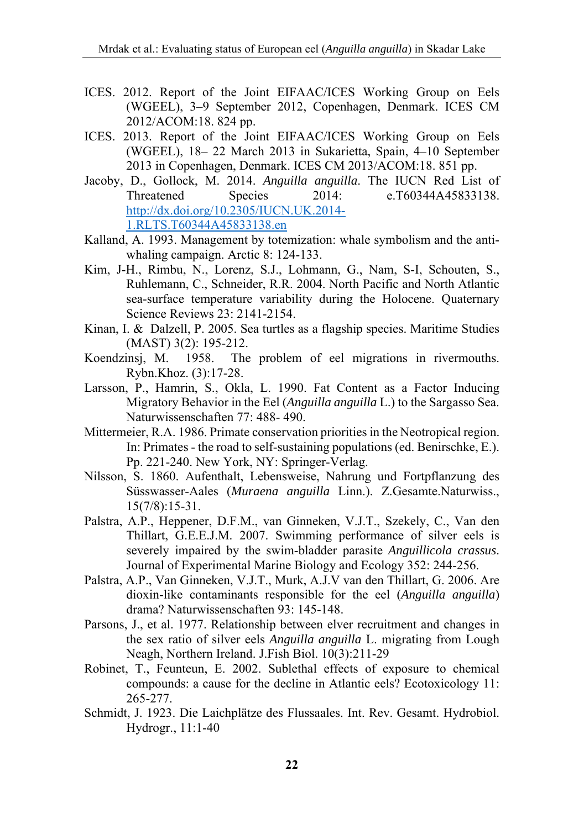- ICES. 2012. Report of the Joint EIFAAC/ICES Working Group on Eels (WGEEL), 3–9 September 2012, Copenhagen, Denmark. ICES CM 2012/ACOM:18. 824 pp.
- ICES. 2013. Report of the Joint EIFAAC/ICES Working Group on Eels (WGEEL), 18– 22 March 2013 in Sukarietta, Spain, 4–10 September 2013 in Copenhagen, Denmark. ICES CM 2013/ACOM:18. 851 pp.
- Jacoby, D., Gollock, M. 2014. *Anguilla anguilla*. The IUCN Red List of Threatened Species 2014: e.T60344A45833138. http://dx.doi.org/10.2305/IUCN.UK.2014- 1.RLTS.T60344A45833138.en
- Kalland, A. 1993. Management by totemization: whale symbolism and the antiwhaling campaign. Arctic 8: 124-133.
- Kim, J-H., Rimbu, N., Lorenz, S.J., Lohmann, G., Nam, S-I, Schouten, S., Ruhlemann, C., Schneider, R.R. 2004. North Pacific and North Atlantic sea-surface temperature variability during the Holocene. Quaternary Science Reviews 23: 2141-2154.
- Kinan, I. & Dalzell, P. 2005. Sea turtles as a flagship species. Maritime Studies (MAST) 3(2): 195-212.
- Koendzinsj, M. 1958. The problem of eel migrations in rivermouths. Rybn.Khoz. (3):17-28.
- Larsson, P., Hamrin, S., Okla, L. 1990. Fat Content as a Factor Inducing Migratory Behavior in the Eel (*Anguilla anguilla* L.) to the Sargasso Sea. Naturwissenschaften 77: 488- 490.
- Mittermeier, R.A. 1986. Primate conservation priorities in the Neotropical region. In: Primates - the road to self-sustaining populations (ed. Benirschke, E.). Pp. 221-240. New York, NY: Springer-Verlag.
- Nilsson, S. 1860. Aufenthalt, Lebensweise, Nahrung und Fortpflanzung des Süsswasser-Aales (*Muraena anguilla* Linn.). Z.Gesamte.Naturwiss., 15(7/8):15-31.
- Palstra, A.P., Heppener, D.F.M., van Ginneken, V.J.T., Szekely, C., Van den Thillart, G.E.E.J.M. 2007. Swimming performance of silver eels is severely impaired by the swim-bladder parasite *Anguillicola crassus*. Journal of Experimental Marine Biology and Ecology 352: 244-256.
- Palstra, A.P., Van Ginneken, V.J.T., Murk, A.J.V van den Thillart, G. 2006. Are dioxin-like contaminants responsible for the eel (*Anguilla anguilla*) drama? Naturwissenschaften 93: 145-148.
- Parsons, J., et al. 1977. Relationship between elver recruitment and changes in the sex ratio of silver eels *Anguilla anguilla* L. migrating from Lough Neagh, Northern Ireland. J.Fish Biol. 10(3):211-29
- Robinet, T., Feunteun, E. 2002. Sublethal effects of exposure to chemical compounds: a cause for the decline in Atlantic eels? Ecotoxicology 11: 265-277.
- Schmidt, J. 1923. Die Laichplätze des Flussaales. Int. Rev. Gesamt. Hydrobiol. Hydrogr., 11:1-40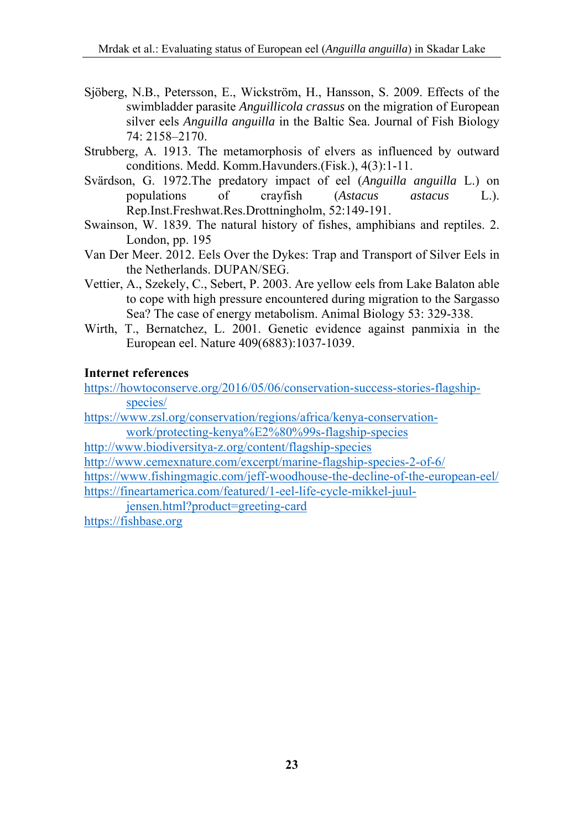- Sjöberg, N.B., Petersson, E., Wickström, H., Hansson, S. 2009. Effects of the swimbladder parasite *Anguillicola crassus* on the migration of European silver eels *Anguilla anguilla* in the Baltic Sea. Journal of Fish Biology 74: 2158–2170.
- Strubberg, A. 1913. The metamorphosis of elvers as influenced by outward conditions. Medd. Komm.Havunders.(Fisk.), 4(3):1-11.
- Svärdson, G. 1972.The predatory impact of eel (*Anguilla anguilla* L.) on populations of crayfish (*Astacus astacus* L.). Rep.Inst.Freshwat.Res.Drottningholm, 52:149-191.
- Swainson, W. 1839. The natural history of fishes, amphibians and reptiles. 2. London, pp. 195
- Van Der Meer. 2012. Eels Over the Dykes: Trap and Transport of Silver Eels in the Netherlands. DUPAN/SEG.
- Vettier, A., Szekely, C., Sebert, P. 2003. Are yellow eels from Lake Balaton able to cope with high pressure encountered during migration to the Sargasso Sea? The case of energy metabolism. Animal Biology 53: 329-338.
- Wirth, T., Bernatchez, L. 2001. Genetic evidence against panmixia in the European eel. Nature 409(6883):1037-1039.

#### **Internet references**

https://howtoconserve.org/2016/05/06/conservation-success-stories-flagshipspecies/

https://www.zsl.org/conservation/regions/africa/kenya-conservationwork/protecting-kenya%E2%80%99s-flagship-species

http://www.biodiversitya-z.org/content/flagship-species

http://www.cemexnature.com/excerpt/marine-flagship-species-2-of-6/

https://www.fishingmagic.com/jeff-woodhouse-the-decline-of-the-european-eel/ https://fineartamerica.com/featured/1-eel-life-cycle-mikkel-juul-

jensen.html?product=greeting-card

https://fishbase.org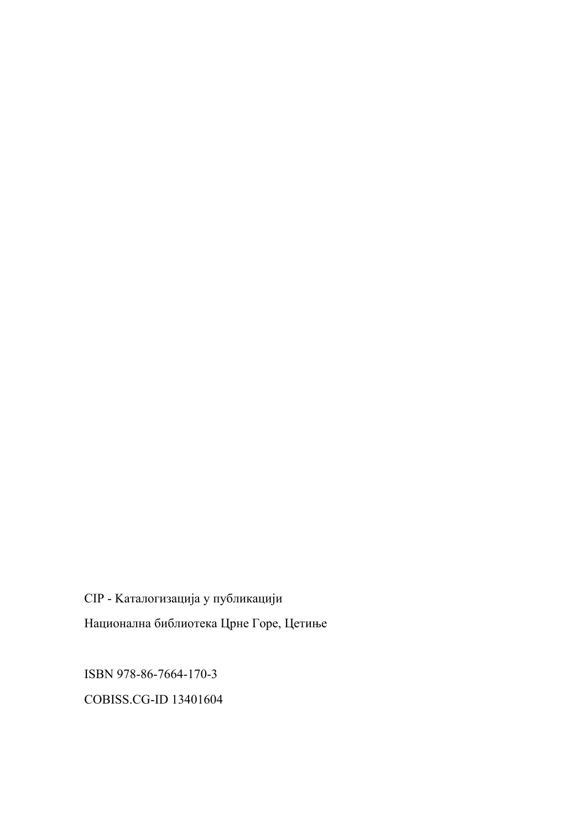CIP - Kaталогизација у публикацији Национална библиотека Црне Горе, Цетиње

ISBN 978-86-7664-170-3

COBISS.CG-ID 13401604